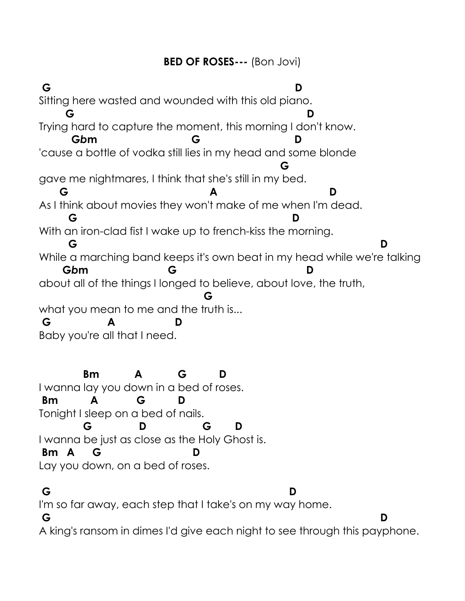## **BED OF ROSES---** (Bon Jovi)

**[G](javascript:;) [D](javascript:;)** Sitting here wasted and wounded with this old piano. **[G](javascript:;) [D](javascript:;)** Trying hard to capture the moment, this morning I don't know. **G***b***[m](javascript:;) [G](javascript:;) [D](javascript:;)** 'cause a bottle of vodka still lies in my head and some blonde **[G](javascript:;)** gave me nightmares, I think that she's still in my bed. **[G](javascript:;) [A](javascript:;) [D](javascript:;)** As I think about movies they won't make of me when I'm dead. **[G](javascript:;) [D](javascript:;)** With an iron-clad fist I wake up to french-kiss the morning. **[G](javascript:;) [D](javascript:;)** While a marching band keeps it's own beat in my head while we're talking **G***b***[m](javascript:;) [G](javascript:;) [D](javascript:;)** about all of the things I longed to believe, about love, the truth, **[G](javascript:;)** what you mean to me and the truth is... **[G](javascript:;) [A](javascript:;) D** Baby you're all that I need.

 **[Bm](javascript:;) [A](javascript:;) [G](javascript:;) [D](javascript:;)** I wanna lay you down in a bed of roses. **[Bm](javascript:;) [A](javascript:;) [G](javascript:;) [D](javascript:;)** Tonight I sleep on a bed of nails. **[G](javascript:;) [D](javascript:;) [G](javascript:;) [D](javascript:;)** I wanna be just as close as the Holy Ghost is. **[Bm](javascript:;) [A](javascript:;) [G](javascript:;)** Lay you down, on a bed of roses.

**[G](javascript:;) [D](javascript:;)** I'm so far away, each step that I take's on my way home. **[G](javascript:;) [D](javascript:;)** A king's ransom in dimes I'd give each night to see through this payphone.